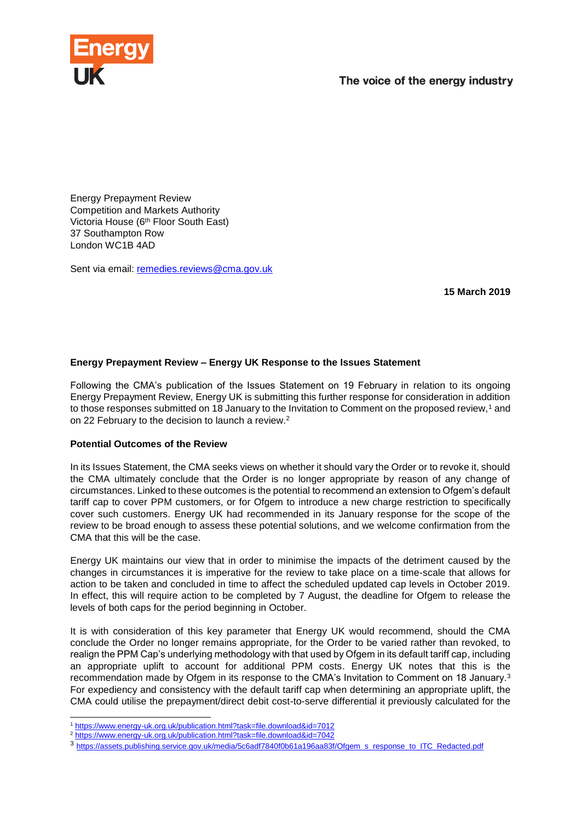

Energy Prepayment Review Competition and Markets Authority Victoria House (6th Floor South East) 37 Southampton Row London WC1B 4AD

Sent via email: [remedies.reviews@cma.gov.uk](mailto:remedies.reviews@cma.gov.uk)

**15 March 2019**

## **Energy Prepayment Review – Energy UK Response to the Issues Statement**

Following the CMA's publication of the Issues Statement on 19 February in relation to its ongoing Energy Prepayment Review, Energy UK is submitting this further response for consideration in addition to those responses submitted on 18 January to the Invitation to Comment on the proposed review,<sup>1</sup> and on 22 February to the decision to launch a review.<sup>2</sup>

## **Potential Outcomes of the Review**

-

In its Issues Statement, the CMA seeks views on whether it should vary the Order or to revoke it, should the CMA ultimately conclude that the Order is no longer appropriate by reason of any change of circumstances. Linked to these outcomes is the potential to recommend an extension to Ofgem's default tariff cap to cover PPM customers, or for Ofgem to introduce a new charge restriction to specifically cover such customers. Energy UK had recommended in its January response for the scope of the review to be broad enough to assess these potential solutions, and we welcome confirmation from the CMA that this will be the case.

Energy UK maintains our view that in order to minimise the impacts of the detriment caused by the changes in circumstances it is imperative for the review to take place on a time-scale that allows for action to be taken and concluded in time to affect the scheduled updated cap levels in October 2019. In effect, this will require action to be completed by 7 August, the deadline for Ofgem to release the levels of both caps for the period beginning in October.

It is with consideration of this key parameter that Energy UK would recommend, should the CMA conclude the Order no longer remains appropriate, for the Order to be varied rather than revoked, to realign the PPM Cap's underlying methodology with that used by Ofgem in its default tariff cap, including an appropriate uplift to account for additional PPM costs. Energy UK notes that this is the recommendation made by Ofgem in its response to the CMA's Invitation to Comment on 18 January.<sup>3</sup> For expediency and consistency with the default tariff cap when determining an appropriate uplift, the CMA could utilise the prepayment/direct debit cost-to-serve differential it previously calculated for the

<sup>1</sup> <https://www.energy-uk.org.uk/publication.html?task=file.download&id=7012>

<sup>2</sup> <https://www.energy-uk.org.uk/publication.html?task=file.download&id=7042>

<sup>3</sup> [https://assets.publishing.service.gov.uk/media/5c6adf7840f0b61a196aa83f/Ofgem\\_s\\_response\\_to\\_ITC\\_Redacted.pdf](https://assets.publishing.service.gov.uk/media/5c6adf7840f0b61a196aa83f/Ofgem_s_response_to_ITC_Redacted.pdf)